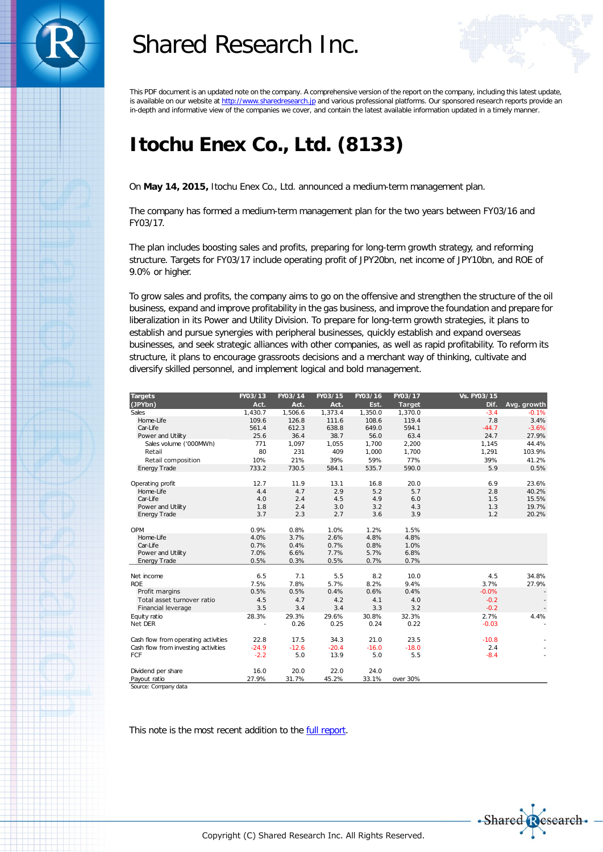

# Shared Research Inc.



This PDF document is an updated note on the company. A comprehensive version of the report on the company, including this latest update, is available on our website at http://www.sharedresearch.jp and various professional platforms. Our sponsored research reports provide an in-depth and informative view of the companies we cover, and contain the latest available information updated in a timely manner.

## **Itochu Enex Co., Ltd. (8133)**

On **May 14, 2015,** Itochu Enex Co., Ltd. announced a medium-term management plan.

The company has formed a medium-term management plan for the two years between FY03/16 and FY03/17.

The plan includes boosting sales and profits, preparing for long-term growth strategy, and reforming structure. Targets for FY03/17 include operating profit of JPY20bn, net income of JPY10bn, and ROE of 9.0% or higher.

To grow sales and profits, the company aims to go on the offensive and strengthen the structure of the oil business, expand and improve profitability in the gas business, and improve the foundation and prepare for liberalization in its Power and Utility Division. To prepare for long-term growth strategies, it plans to establish and pursue synergies with peripheral businesses, quickly establish and expand overseas businesses, and seek strategic alliances with other companies, as well as rapid profitability. To reform its structure, it plans to encourage grassroots decisions and a merchant way of thinking, cultivate and diversify skilled personnel, and implement logical and bold management.

| <b>Targets</b>                      | FY03/13 | FY03/14 | FY03/15 | FY03/16 | FY03/17       | Vs. FY03/15 |                                  |
|-------------------------------------|---------|---------|---------|---------|---------------|-------------|----------------------------------|
| (JPYbn)                             | Act.    | Act.    | Act.    | Est.    | <b>Target</b> | Dif.        | Avg. growth                      |
| Sales                               | 1,430.7 | 1,506.6 | 1,373.4 | 1,350.0 | 1,370.0       | $-3.4$      | $-0.1%$                          |
| Home-Life                           | 109.6   | 126.8   | 111.6   | 108.6   | 119.4         | 7.8         | 3.4%                             |
| Car-Life                            | 561.4   | 612.3   | 638.8   | 649.0   | 594.1         | $-44.7$     | $-3.6%$                          |
| Power and Utility                   | 25.6    | 36.4    | 38.7    | 56.0    | 63.4          | 24.7        | 27.9%                            |
| Sales volume ('000MWh)              | 771     | 1,097   | 1,055   | 1,700   | 2,200         | 1,145       | 44.4%                            |
| Retail                              | 80      | 231     | 409     | 1,000   | 1,700         | 1,291       | 103.9%                           |
| Retail composition                  | 10%     | 21%     | 39%     | 59%     | 77%           | 39%         | 41.2%                            |
| <b>Energy Trade</b>                 | 733.2   | 730.5   | 584.1   | 535.7   | 590.0         | 5.9         | 0.5%                             |
|                                     |         |         |         |         |               |             |                                  |
| Operating profit                    | 12.7    | 11.9    | 13.1    | 16.8    | 20.0          | 6.9         | 23.6%                            |
| Home-Life                           | 4.4     | 4.7     | 2.9     | 5.2     | 5.7           | 2.8         | 40.2%                            |
| Car-Life                            | 4.0     | 2.4     | 4.5     | 4.9     | 6.0           | 1.5         | 15.5%                            |
| Power and Utility                   | 1.8     | 2.4     | 3.0     | 3.2     | 4.3           | 1.3         | 19.7%                            |
| <b>Energy Trade</b>                 | 3.7     | 2.3     | 2.7     | 3.6     | 3.9           | 1.2         | 20.2%                            |
|                                     |         |         |         |         |               |             |                                  |
| OPM                                 | 0.9%    | 0.8%    | 1.0%    | 1.2%    | 1.5%          |             |                                  |
| Home-Life                           | 4.0%    | 3.7%    | 2.6%    | 4.8%    | 4.8%          |             |                                  |
| Car-Life                            | 0.7%    | 0.4%    | 0.7%    | 0.8%    | 1.0%          |             |                                  |
| Power and Utility                   | 7.0%    | 6.6%    | 7.7%    | 5.7%    | 6.8%          |             |                                  |
| <b>Energy Trade</b>                 | 0.5%    | 0.3%    | 0.5%    | 0.7%    | 0.7%          |             |                                  |
| Net income                          | 6.5     | 7.1     | 5.5     | 8.2     | 10.0          | 4.5         | 34.8%                            |
| <b>ROE</b>                          | 7.5%    | 7.8%    | 5.7%    | 8.2%    | 9.4%          | 3.7%        | 27.9%                            |
| Profit margins                      | 0.5%    | 0.5%    | 0.4%    | 0.6%    | 0.4%          | $-0.0%$     |                                  |
| Total asset turnover ratio          | 4.5     | 4.7     | 4.2     | 4.1     | 4.0           | $-0.2$      |                                  |
| Financial leverage                  | 3.5     | 3.4     | 3.4     | 3.3     | 3.2           | $-0.2$      |                                  |
|                                     | 28.3%   | 29.3%   | 29.6%   | 30.8%   | 32.3%         | 2.7%        | $\overline{\phantom{a}}$<br>4.4% |
| Equity ratio<br>Net DER             |         | 0.26    | 0.25    | 0.24    | 0.22          | $-0.03$     |                                  |
|                                     |         |         |         |         |               |             |                                  |
| Cash flow from operating activities | 22.8    | 17.5    | 34.3    | 21.0    | 23.5          | $-10.8$     |                                  |
| Cash flow from investing activities | $-24.9$ | $-12.6$ | $-20.4$ | $-16.0$ | $-18.0$       | 2.4         |                                  |
| <b>FCF</b>                          | $-2.2$  | 5.0     | 13.9    | 5.0     | 5.5           | $-8.4$      |                                  |
|                                     |         |         |         |         |               |             |                                  |
| Dividend per share                  | 16.0    | 20.0    | 22.0    | 24.0    |               |             |                                  |
| Payout ratio                        | 27.9%   | 31.7%   | 45.2%   | 33.1%   | over 30%      |             |                                  |
| Source: Company data                |         |         |         |         |               |             |                                  |

This note is the most recent addition to the [full](http://www.sharedresearch.jp/en/8133) report.